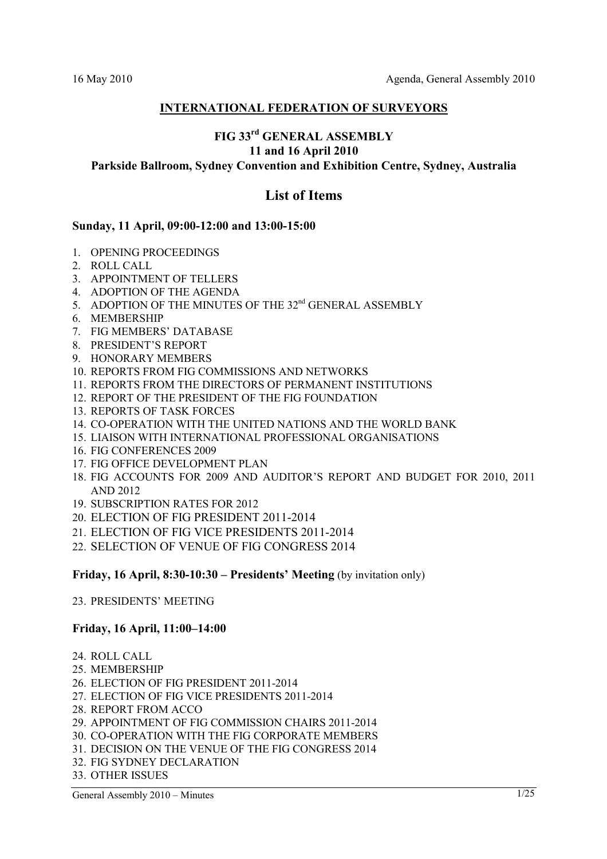## **INTERNATIONAL FEDERATION OF SURVEYORS**

## **FIG 33rd GENERAL ASSEMBLY 11 and 16 April 2010**

## **Parkside Ballroom, Sydney Convention and Exhibition Centre, Sydney, Australia**

## **List of Items**

#### **Sunday, 11 April, 09:00-12:00 and 13:00-15:00**

- 1. OPENING PROCEEDINGS
- 2. ROLL CALL
- 3. APPOINTMENT OF TELLERS
- 4. ADOPTION OF THE AGENDA
- 5. ADOPTION OF THE MINUTES OF THE 32<sup>nd</sup> GENERAL ASSEMBLY
- 6. MEMBERSHIP
- 7. FIG MEMBERS' DATABASE
- 8. PRESIDENT'S REPORT
- 9. HONORARY MEMBERS
- 10. REPORTS FROM FIG COMMISSIONS AND NETWORKS
- 11. REPORTS FROM THE DIRECTORS OF PERMANENT INSTITUTIONS
- 12. REPORT OF THE PRESIDENT OF THE FIG FOUNDATION
- 13. REPORTS OF TASK FORCES
- 14. CO-OPERATION WITH THE UNITED NATIONS AND THE WORLD BANK
- 15. LIAISON WITH INTERNATIONAL PROFESSIONAL ORGANISATIONS
- 16. FIG CONFERENCES 2009
- 17. FIG OFFICE DEVELOPMENT PLAN
- 18. FIG ACCOUNTS FOR 2009 AND AUDITOR'S REPORT AND BUDGET FOR 2010, 2011 AND 2012
- 19. SUBSCRIPTION RATES FOR 2012
- 20. ELECTION OF FIG PRESIDENT 2011-2014
- 21. ELECTION OF FIG VICE PRESIDENTS 2011-2014
- 22. SELECTION OF VENUE OF FIG CONGRESS 2014

**Friday, 16 April, 8:30-10:30 – Presidents' Meeting (by invitation only)** 

23. PRESIDENTS' MEETING

## **Friday, 16 April, 11:00–14:00**

- 24. ROLL CALL
- 25. MEMBERSHIP
- 26. ELECTION OF FIG PRESIDENT 2011-2014
- 27. ELECTION OF FIG VICE PRESIDENTS 2011-2014
- 28. REPORT FROM ACCO
- 29. APPOINTMENT OF FIG COMMISSION CHAIRS 2011-2014
- 30. CO-OPERATION WITH THE FIG CORPORATE MEMBERS
- 31. DECISION ON THE VENUE OF THE FIG CONGRESS 2014
- 32. FIG SYDNEY DECLARATION
- 33. OTHER ISSUES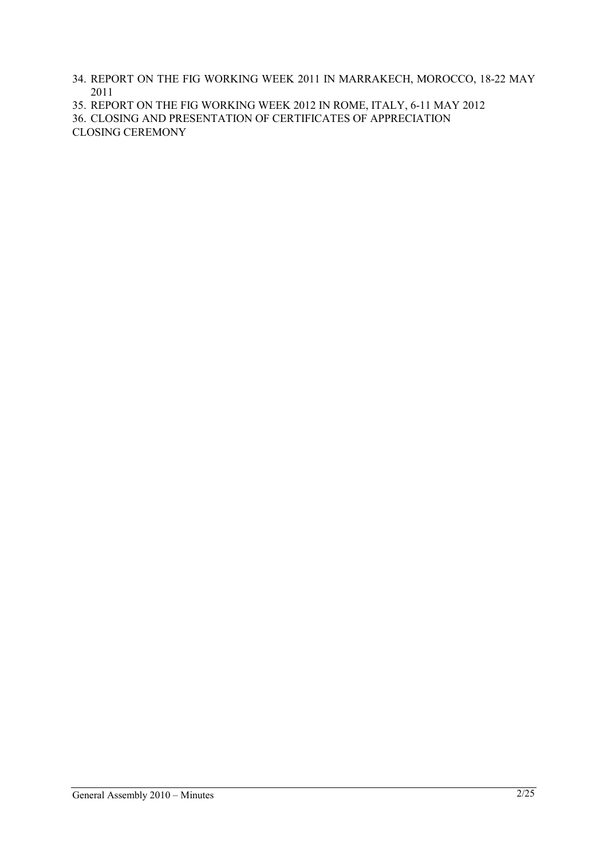- 34. REPORT ON THE FIG WORKING WEEK 2011 IN MARRAKECH, MOROCCO, 18-22 MAY 2011
- 35. REPORT ON THE FIG WORKING WEEK 2012 IN ROME, ITALY, 6-11 MAY 2012
- 36. CLOSING AND PRESENTATION OF CERTIFICATES OF APPRECIATION

CLOSING CEREMONY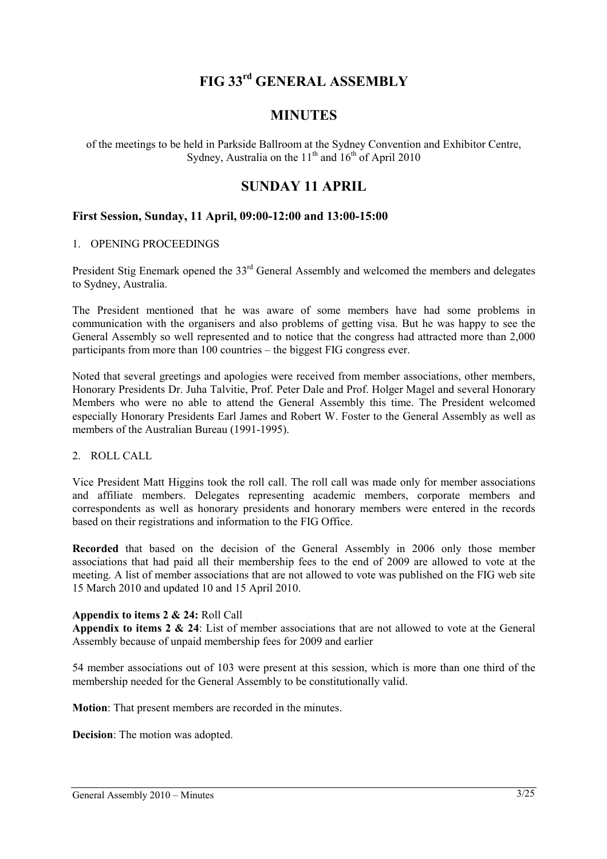# **FIG 33rd GENERAL ASSEMBLY**

## **MINUTES**

of the meetings to be held in Parkside Ballroom at the Sydney Convention and Exhibitor Centre, Sydney, Australia on the  $11<sup>th</sup>$  and  $16<sup>th</sup>$  of April 2010

## **SUNDAY 11 APRIL**

## **First Session, Sunday, 11 April, 09:00-12:00 and 13:00-15:00**

#### 1. OPENING PROCEEDINGS

President Stig Enemark opened the 33<sup>rd</sup> General Assembly and welcomed the members and delegates to Sydney, Australia.

The President mentioned that he was aware of some members have had some problems in communication with the organisers and also problems of getting visa. But he was happy to see the General Assembly so well represented and to notice that the congress had attracted more than 2,000 participants from more than 100 countries – the biggest FIG congress ever.

Noted that several greetings and apologies were received from member associations, other members, Honorary Presidents Dr. Juha Talvitie, Prof. Peter Dale and Prof. Holger Magel and several Honorary Members who were no able to attend the General Assembly this time. The President welcomed especially Honorary Presidents Earl James and Robert W. Foster to the General Assembly as well as members of the Australian Bureau (1991-1995).

#### 2. ROLL CALL

Vice President Matt Higgins took the roll call. The roll call was made only for member associations and affiliate members. Delegates representing academic members, corporate members and correspondents as well as honorary presidents and honorary members were entered in the records based on their registrations and information to the FIG Office.

**Recorded** that based on the decision of the General Assembly in 2006 only those member associations that had paid all their membership fees to the end of 2009 are allowed to vote at the meeting. A list of member associations that are not allowed to vote was published on the FIG web site 15 March 2010 and updated 10 and 15 April 2010.

#### **Appendix to items 2 & 24:** Roll Call

**Appendix to items 2 & 24**: List of member associations that are not allowed to vote at the General Assembly because of unpaid membership fees for 2009 and earlier

54 member associations out of 103 were present at this session, which is more than one third of the membership needed for the General Assembly to be constitutionally valid.

**Motion**: That present members are recorded in the minutes.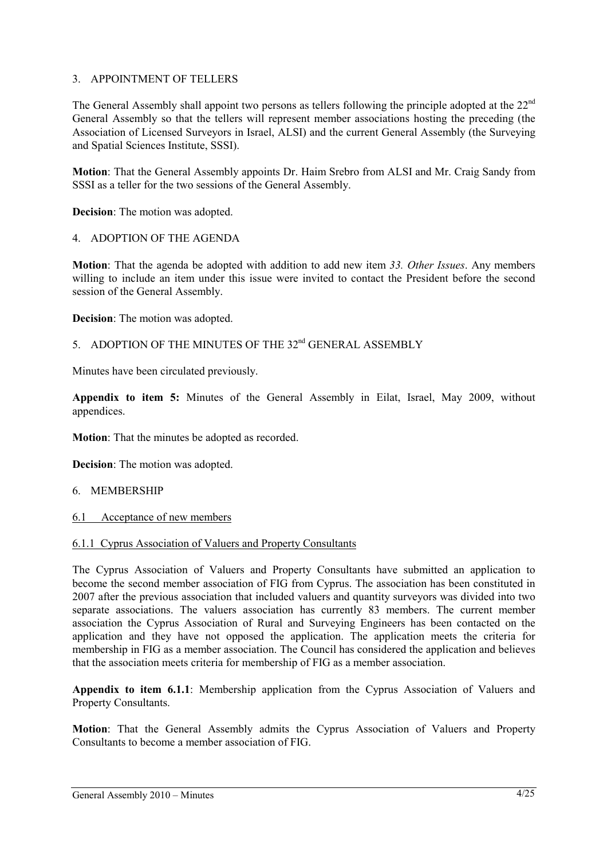## 3. APPOINTMENT OF TELLERS

The General Assembly shall appoint two persons as tellers following the principle adopted at the 22<sup>nd</sup> General Assembly so that the tellers will represent member associations hosting the preceding (the Association of Licensed Surveyors in Israel, ALSI) and the current General Assembly (the Surveying and Spatial Sciences Institute, SSSI).

**Motion**: That the General Assembly appoints Dr. Haim Srebro from ALSI and Mr. Craig Sandy from SSSI as a teller for the two sessions of the General Assembly.

**Decision**: The motion was adopted.

## 4. ADOPTION OF THE AGENDA

**Motion**: That the agenda be adopted with addition to add new item *33. Other Issues*. Any members willing to include an item under this issue were invited to contact the President before the second session of the General Assembly.

**Decision**: The motion was adopted.

## 5 ADOPTION OF THE MINUTES OF THE 32<sup>nd</sup> GENERAL ASSEMBLY

Minutes have been circulated previously.

**Appendix to item 5:** Minutes of the General Assembly in Eilat, Israel, May 2009, without appendices.

**Motion**: That the minutes be adopted as recorded.

**Decision**: The motion was adopted.

#### 6. MEMBERSHIP

6.1 Acceptance of new members

#### 6.1.1 Cyprus Association of Valuers and Property Consultants

The Cyprus Association of Valuers and Property Consultants have submitted an application to become the second member association of FIG from Cyprus. The association has been constituted in 2007 after the previous association that included valuers and quantity surveyors was divided into two separate associations. The valuers association has currently 83 members. The current member association the Cyprus Association of Rural and Surveying Engineers has been contacted on the application and they have not opposed the application. The application meets the criteria for membership in FIG as a member association. The Council has considered the application and believes that the association meets criteria for membership of FIG as a member association.

**Appendix to item 6.1.1**: Membership application from the Cyprus Association of Valuers and Property Consultants.

**Motion**: That the General Assembly admits the Cyprus Association of Valuers and Property Consultants to become a member association of FIG.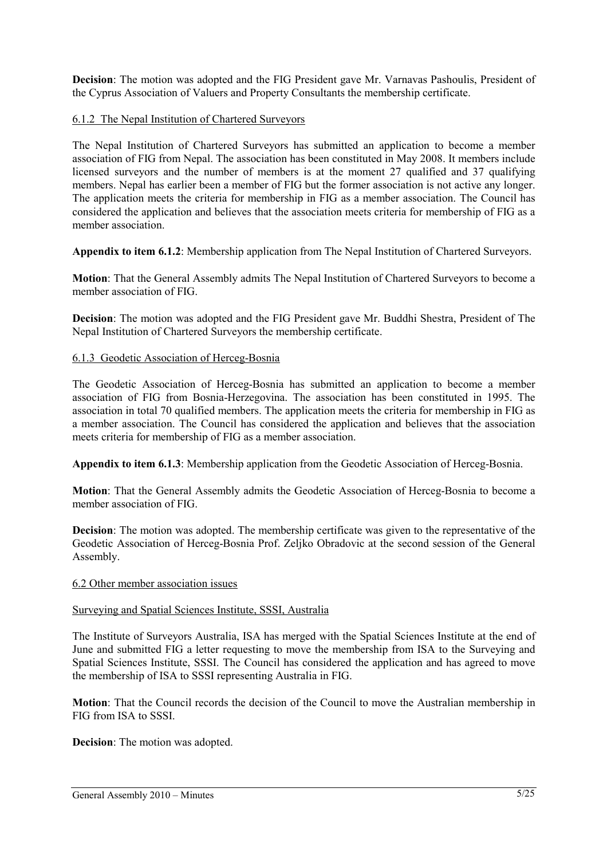**Decision**: The motion was adopted and the FIG President gave Mr. Varnavas Pashoulis, President of the Cyprus Association of Valuers and Property Consultants the membership certificate.

## 6.1.2 The Nepal Institution of Chartered Surveyors

The Nepal Institution of Chartered Surveyors has submitted an application to become a member association of FIG from Nepal. The association has been constituted in May 2008. It members include licensed surveyors and the number of members is at the moment 27 qualified and 37 qualifying members. Nepal has earlier been a member of FIG but the former association is not active any longer. The application meets the criteria for membership in FIG as a member association. The Council has considered the application and believes that the association meets criteria for membership of FIG as a member association.

**Appendix to item 6.1.2**: Membership application from The Nepal Institution of Chartered Surveyors.

**Motion**: That the General Assembly admits The Nepal Institution of Chartered Surveyors to become a member association of FIG.

**Decision**: The motion was adopted and the FIG President gave Mr. Buddhi Shestra, President of The Nepal Institution of Chartered Surveyors the membership certificate.

#### 6.1.3 Geodetic Association of Herceg-Bosnia

The Geodetic Association of Herceg-Bosnia has submitted an application to become a member association of FIG from Bosnia-Herzegovina. The association has been constituted in 1995. The association in total 70 qualified members. The application meets the criteria for membership in FIG as a member association. The Council has considered the application and believes that the association meets criteria for membership of FIG as a member association.

**Appendix to item 6.1.3**: Membership application from the Geodetic Association of Herceg-Bosnia.

**Motion**: That the General Assembly admits the Geodetic Association of Herceg-Bosnia to become a member association of FIG.

**Decision**: The motion was adopted. The membership certificate was given to the representative of the Geodetic Association of Herceg-Bosnia Prof. Zeljko Obradovic at the second session of the General Assembly.

#### 6.2 Other member association issues

#### Surveying and Spatial Sciences Institute, SSSI, Australia

The Institute of Surveyors Australia, ISA has merged with the Spatial Sciences Institute at the end of June and submitted FIG a letter requesting to move the membership from ISA to the Surveying and Spatial Sciences Institute, SSSI. The Council has considered the application and has agreed to move the membership of ISA to SSSI representing Australia in FIG.

**Motion**: That the Council records the decision of the Council to move the Australian membership in FIG from ISA to SSSI.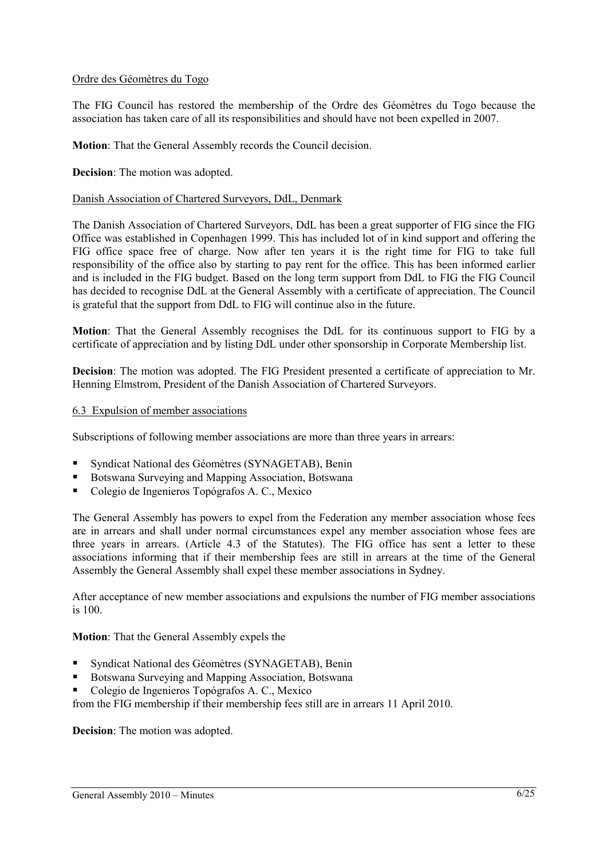#### Ordre des Géomètres du Togo

The FIG Council has restored the membership of the Ordre des Géomètres du Togo because the association has taken care of all its responsibilities and should have not been expelled in 2007.

**Motion**: That the General Assembly records the Council decision.

#### **Decision**: The motion was adopted.

#### Danish Association of Chartered Surveyors, DdL, Denmark

The Danish Association of Chartered Surveyors, DdL has been a great supporter of FIG since the FIG Office was established in Copenhagen 1999. This has included lot of in kind support and offering the FIG office space free of charge. Now after ten years it is the right time for FIG to take full responsibility of the office also by starting to pay rent for the office. This has been informed earlier and is included in the FIG budget. Based on the long term support from DdL to FIG the FIG Council has decided to recognise DdL at the General Assembly with a certificate of appreciation. The Council is grateful that the support from DdL to FIG will continue also in the future.

**Motion**: That the General Assembly recognises the DdL for its continuous support to FIG by a certificate of appreciation and by listing DdL under other sponsorship in Corporate Membership list.

**Decision**: The motion was adopted. The FIG President presented a certificate of appreciation to Mr. Henning Elmstrom, President of the Danish Association of Chartered Surveyors.

#### 6.3 Expulsion of member associations

Subscriptions of following member associations are more than three years in arrears:

- Syndicat National des Géomètres (SYNAGETAB), Benin
- Botswana Surveying and Mapping Association, Botswana
- Colegio de Ingenieros Topógrafos A. C., Mexico

The General Assembly has powers to expel from the Federation any member association whose fees are in arrears and shall under normal circumstances expel any member association whose fees are three years in arrears. (Article 4.3 of the Statutes). The FIG office has sent a letter to these associations informing that if their membership fees are still in arrears at the time of the General Assembly the General Assembly shall expel these member associations in Sydney.

After acceptance of new member associations and expulsions the number of FIG member associations is 100.

**Motion**: That the General Assembly expels the

- Syndicat National des Géomètres (SYNAGETAB), Benin
- Botswana Surveying and Mapping Association, Botswana
- Colegio de Ingenieros Topógrafos A. C., Mexico

from the FIG membership if their membership fees still are in arrears 11 April 2010.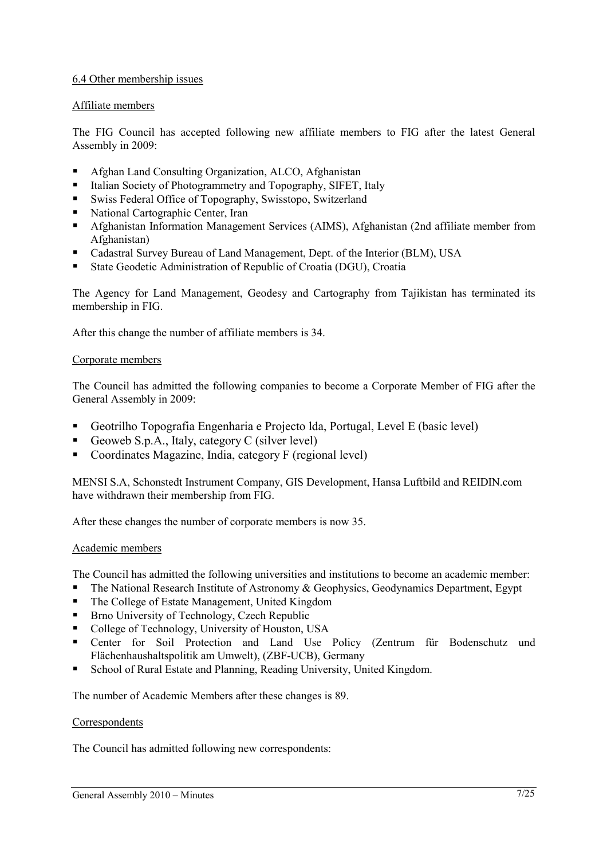## 6.4 Other membership issues

## Affiliate members

The FIG Council has accepted following new affiliate members to FIG after the latest General Assembly in 2009:

- Afghan Land Consulting Organization, ALCO, Afghanistan
- Italian Society of Photogrammetry and Topography, SIFET, Italy
- Swiss Federal Office of Topography, Swisstopo, Switzerland
- National Cartographic Center, Iran
- Afghanistan Information Management Services (AIMS), Afghanistan (2nd affiliate member from Afghanistan)
- Cadastral Survey Bureau of Land Management, Dept. of the Interior (BLM), USA
- State Geodetic Administration of Republic of Croatia (DGU), Croatia

The Agency for Land Management, Geodesy and Cartography from Tajikistan has terminated its membership in FIG.

After this change the number of affiliate members is 34.

## Corporate members

The Council has admitted the following companies to become a Corporate Member of FIG after the General Assembly in 2009:

- Geotrilho Topografia Engenharia e Projecto lda, Portugal, Level E (basic level)
- Geoweb S.p.A., Italy, category C (silver level)
- Coordinates Magazine, India, category F (regional level)

MENSI S.A, Schonstedt Instrument Company, GIS Development, Hansa Luftbild and REIDIN.com have withdrawn their membership from FIG.

After these changes the number of corporate members is now 35.

## Academic members

The Council has admitted the following universities and institutions to become an academic member:

- The National Research Institute of Astronomy & Geophysics, Geodynamics Department, Egypt
- The College of Estate Management, United Kingdom
- Brno University of Technology, Czech Republic
- College of Technology, University of Houston, USA
- Center for Soil Protection and Land Use Policy (Zentrum für Bodenschutz und Flächenhaushaltspolitik am Umwelt), (ZBF-UCB), Germany
- School of Rural Estate and Planning, Reading University, United Kingdom.

The number of Academic Members after these changes is 89.

## **Correspondents**

The Council has admitted following new correspondents: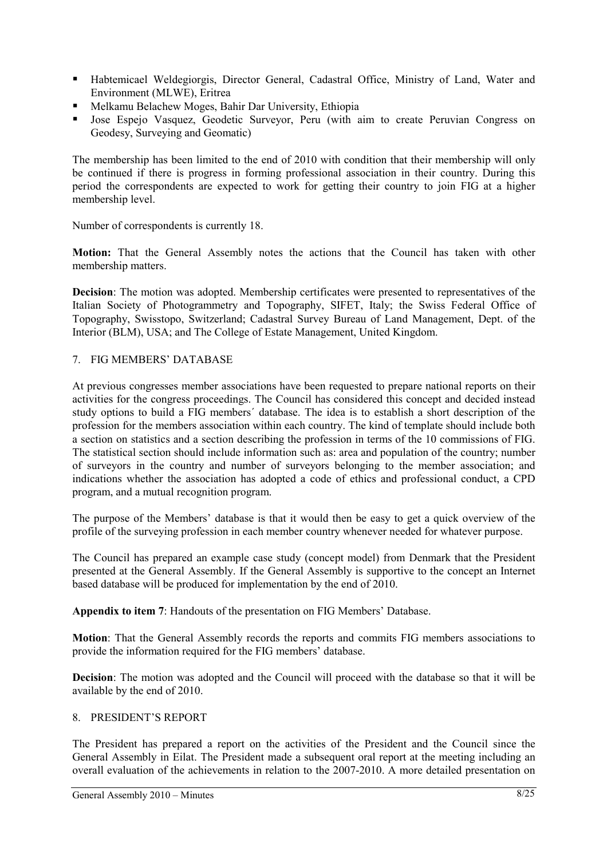- Habtemicael Weldegiorgis, Director General, Cadastral Office, Ministry of Land, Water and Environment (MLWE), Eritrea
- Melkamu Belachew Moges, Bahir Dar University, Ethiopia
- **Jose Espejo Vasquez, Geodetic Surveyor, Peru (with aim to create Peruvian Congress on** Geodesy, Surveying and Geomatic)

The membership has been limited to the end of 2010 with condition that their membership will only be continued if there is progress in forming professional association in their country. During this period the correspondents are expected to work for getting their country to join FIG at a higher membership level.

Number of correspondents is currently 18.

**Motion:** That the General Assembly notes the actions that the Council has taken with other membership matters.

**Decision**: The motion was adopted. Membership certificates were presented to representatives of the Italian Society of Photogrammetry and Topography, SIFET, Italy; the Swiss Federal Office of Topography, Swisstopo, Switzerland; Cadastral Survey Bureau of Land Management, Dept. of the Interior (BLM), USA; and The College of Estate Management, United Kingdom.

## 7. FIG MEMBERS' DATABASE

At previous congresses member associations have been requested to prepare national reports on their activities for the congress proceedings. The Council has considered this concept and decided instead study options to build a FIG members´ database. The idea is to establish a short description of the profession for the members association within each country. The kind of template should include both a section on statistics and a section describing the profession in terms of the 10 commissions of FIG. The statistical section should include information such as: area and population of the country; number of surveyors in the country and number of surveyors belonging to the member association; and indications whether the association has adopted a code of ethics and professional conduct, a CPD program, and a mutual recognition program.

The purpose of the Members' database is that it would then be easy to get a quick overview of the profile of the surveying profession in each member country whenever needed for whatever purpose.

The Council has prepared an example case study (concept model) from Denmark that the President presented at the General Assembly. If the General Assembly is supportive to the concept an Internet based database will be produced for implementation by the end of 2010.

**Appendix to item 7**: Handouts of the presentation on FIG Members' Database.

**Motion**: That the General Assembly records the reports and commits FIG members associations to provide the information required for the FIG members' database.

**Decision**: The motion was adopted and the Council will proceed with the database so that it will be available by the end of 2010.

## 8. PRESIDENT'S REPORT

The President has prepared a report on the activities of the President and the Council since the General Assembly in Eilat. The President made a subsequent oral report at the meeting including an overall evaluation of the achievements in relation to the 2007-2010. A more detailed presentation on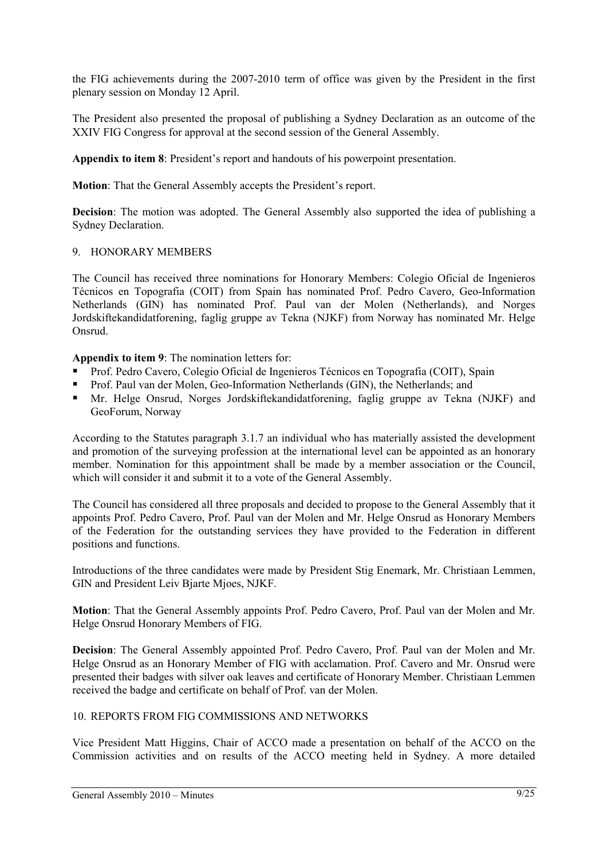the FIG achievements during the 2007-2010 term of office was given by the President in the first plenary session on Monday 12 April.

The President also presented the proposal of publishing a Sydney Declaration as an outcome of the XXIV FIG Congress for approval at the second session of the General Assembly.

**Appendix to item 8**: President's report and handouts of his powerpoint presentation.

**Motion:** That the General Assembly accepts the President's report.

**Decision**: The motion was adopted. The General Assembly also supported the idea of publishing a Sydney Declaration.

## 9. HONORARY MEMBERS

The Council has received three nominations for Honorary Members: Colegio Oficial de Ingenieros Técnicos en Topografia (COIT) from Spain has nominated Prof. Pedro Cavero, Geo-Information Netherlands (GIN) has nominated Prof. Paul van der Molen (Netherlands), and Norges Jordskiftekandidatforening, faglig gruppe av Tekna (NJKF) from Norway has nominated Mr. Helge Onsrud.

**Appendix to item 9**: The nomination letters for:

- Prof. Pedro Cavero, Colegio Oficial de Ingenieros Técnicos en Topografia (COIT), Spain
- Prof. Paul van der Molen, Geo-Information Netherlands (GIN), the Netherlands; and
- Mr. Helge Onsrud, Norges Jordskiftekandidatforening, faglig gruppe av Tekna (NJKF) and GeoForum, Norway

According to the Statutes paragraph 3.1.7 an individual who has materially assisted the development and promotion of the surveying profession at the international level can be appointed as an honorary member. Nomination for this appointment shall be made by a member association or the Council, which will consider it and submit it to a vote of the General Assembly.

The Council has considered all three proposals and decided to propose to the General Assembly that it appoints Prof. Pedro Cavero, Prof. Paul van der Molen and Mr. Helge Onsrud as Honorary Members of the Federation for the outstanding services they have provided to the Federation in different positions and functions.

Introductions of the three candidates were made by President Stig Enemark, Mr. Christiaan Lemmen, GIN and President Leiv Bjarte Mjoes, NJKF.

**Motion**: That the General Assembly appoints Prof. Pedro Cavero, Prof. Paul van der Molen and Mr. Helge Onsrud Honorary Members of FIG.

**Decision**: The General Assembly appointed Prof. Pedro Cavero, Prof. Paul van der Molen and Mr. Helge Onsrud as an Honorary Member of FIG with acclamation. Prof. Cavero and Mr. Onsrud were presented their badges with silver oak leaves and certificate of Honorary Member. Christiaan Lemmen received the badge and certificate on behalf of Prof. van der Molen.

## 10. REPORTS FROM FIG COMMISSIONS AND NETWORKS

Vice President Matt Higgins, Chair of ACCO made a presentation on behalf of the ACCO on the Commission activities and on results of the ACCO meeting held in Sydney. A more detailed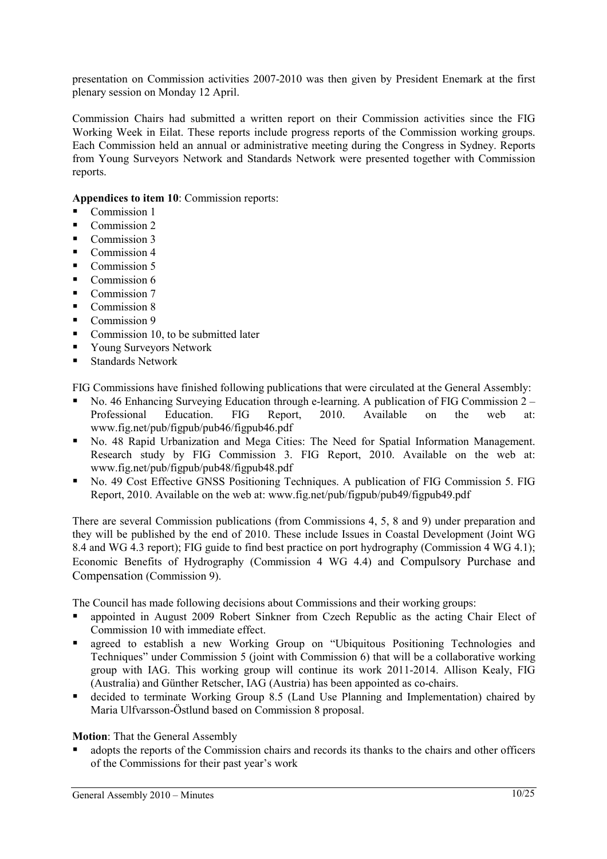presentation on Commission activities 2007-2010 was then given by President Enemark at the first plenary session on Monday 12 April.

Commission Chairs had submitted a written report on their Commission activities since the FIG Working Week in Eilat. These reports include progress reports of the Commission working groups. Each Commission held an annual or administrative meeting during the Congress in Sydney. Reports from Young Surveyors Network and Standards Network were presented together with Commission reports.

**Appendices to item 10**: Commission reports:

- Commission 1
- Commission 2
- Commission 3
- Commission 4
- $\blacksquare$  Commission 5
- $\blacksquare$  Commission 6
- Commission 7
- $\blacksquare$  Commission 8
- Commission 9
- $\blacksquare$  Commission 10, to be submitted later
- Young Surveyors Network
- Standards Network

FIG Commissions have finished following publications that were circulated at the General Assembly:

- No. 46 Enhancing Surveying Education through e-learning. A publication of FIG Commission  $2 -$ Professional Education. FIG Report, 2010. Available on the web at: www.fig.net/pub/figpub/pub46/figpub46.pdf
- No. 48 Rapid Urbanization and Mega Cities: The Need for Spatial Information Management. Research study by FIG Commission 3. FIG Report, 2010. Available on the web at: www.fig.net/pub/figpub/pub48/figpub48.pdf
- No. 49 Cost Effective GNSS Positioning Techniques. A publication of FIG Commission 5. FIG Report, 2010. Available on the web at: www.fig.net/pub/figpub/pub49/figpub49.pdf

There are several Commission publications (from Commissions 4, 5, 8 and 9) under preparation and they will be published by the end of 2010. These include Issues in Coastal Development (Joint WG 8.4 and WG 4.3 report); FIG guide to find best practice on port hydrography (Commission 4 WG 4.1); Economic Benefits of Hydrography (Commission 4 WG 4.4) and Compulsory Purchase and Compensation (Commission 9).

The Council has made following decisions about Commissions and their working groups:

- appointed in August 2009 Robert Sinkner from Czech Republic as the acting Chair Elect of Commission 10 with immediate effect.
- agreed to establish a new Working Group on "Ubiquitous Positioning Technologies and Techniques" under Commission 5 (joint with Commission 6) that will be a collaborative working group with IAG. This working group will continue its work 2011-2014. Allison Kealy, FIG (Australia) and Günther Retscher, IAG (Austria) has been appointed as co-chairs.
- decided to terminate Working Group 8.5 (Land Use Planning and Implementation) chaired by Maria Ulfvarsson-Östlund based on Commission 8 proposal.

## **Motion**: That the General Assembly

 adopts the reports of the Commission chairs and records its thanks to the chairs and other officers of the Commissions for their past year's work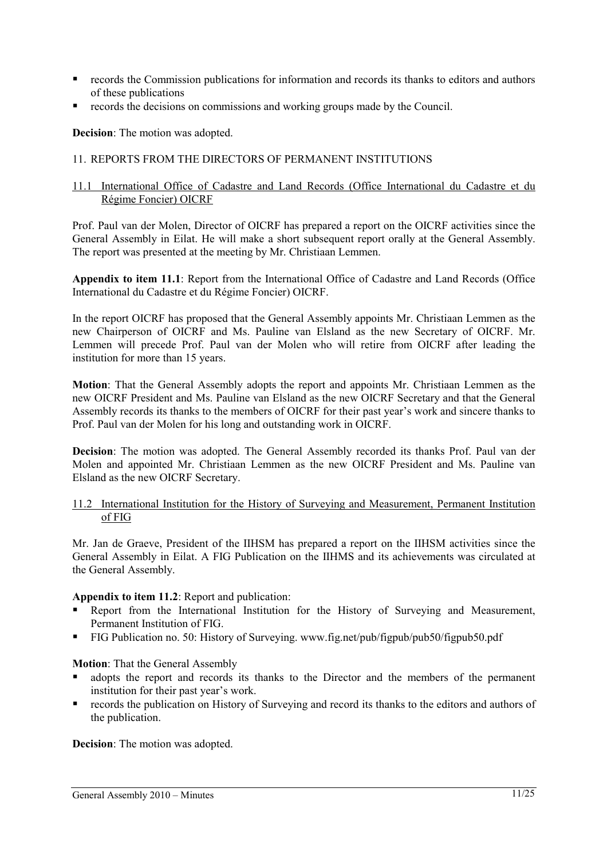- records the Commission publications for information and records its thanks to editors and authors of these publications
- records the decisions on commissions and working groups made by the Council.

**Decision**: The motion was adopted.

## 11. REPORTS FROM THE DIRECTORS OF PERMANENT INSTITUTIONS

#### 11.1 International Office of Cadastre and Land Records (Office International du Cadastre et du Régime Foncier) OICRF

Prof. Paul van der Molen, Director of OICRF has prepared a report on the OICRF activities since the General Assembly in Eilat. He will make a short subsequent report orally at the General Assembly. The report was presented at the meeting by Mr. Christiaan Lemmen.

**Appendix to item 11.1**: Report from the International Office of Cadastre and Land Records (Office International du Cadastre et du Régime Foncier) OICRF.

In the report OICRF has proposed that the General Assembly appoints Mr. Christiaan Lemmen as the new Chairperson of OICRF and Ms. Pauline van Elsland as the new Secretary of OICRF. Mr. Lemmen will precede Prof. Paul van der Molen who will retire from OICRF after leading the institution for more than 15 years.

**Motion**: That the General Assembly adopts the report and appoints Mr. Christiaan Lemmen as the new OICRF President and Ms. Pauline van Elsland as the new OICRF Secretary and that the General Assembly records its thanks to the members of OICRF for their past year's work and sincere thanks to Prof. Paul van der Molen for his long and outstanding work in OICRF.

**Decision**: The motion was adopted. The General Assembly recorded its thanks Prof. Paul van der Molen and appointed Mr. Christiaan Lemmen as the new OICRF President and Ms. Pauline van Elsland as the new OICRF Secretary.

## 11.2 International Institution for the History of Surveying and Measurement, Permanent Institution of FIG

Mr. Jan de Graeve, President of the IIHSM has prepared a report on the IIHSM activities since the General Assembly in Eilat. A FIG Publication on the IIHMS and its achievements was circulated at the General Assembly.

## **Appendix to item 11.2**: Report and publication:

- Report from the International Institution for the History of Surveying and Measurement, Permanent Institution of FIG.
- FIG Publication no. 50: History of Surveying. www.fig.net/pub/figpub/pub50/figpub50.pdf

## **Motion**: That the General Assembly

- adopts the report and records its thanks to the Director and the members of the permanent institution for their past year's work.
- records the publication on History of Surveying and record its thanks to the editors and authors of the publication.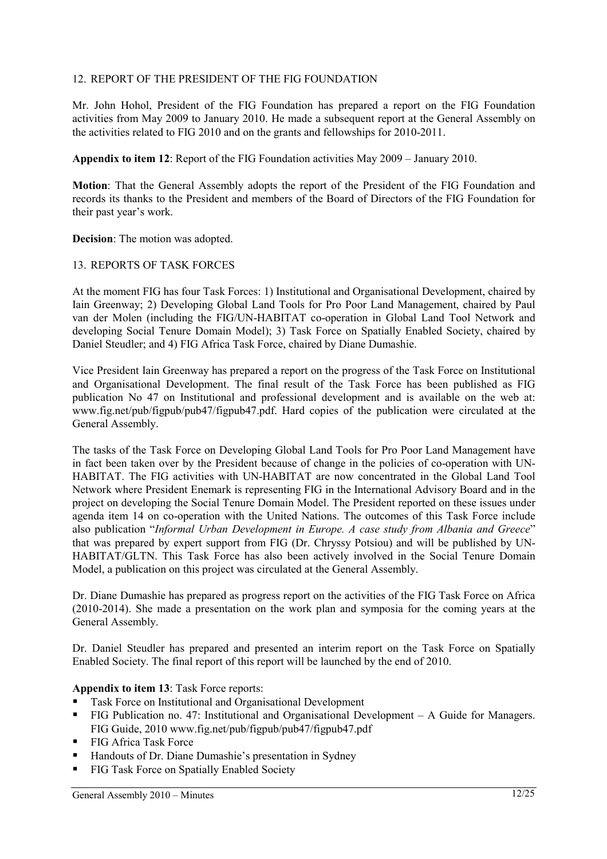## 12. REPORT OF THE PRESIDENT OF THE FIG FOUNDATION

Mr. John Hohol, President of the FIG Foundation has prepared a report on the FIG Foundation activities from May 2009 to January 2010. He made a subsequent report at the General Assembly on the activities related to FIG 2010 and on the grants and fellowships for 2010-2011.

**Appendix to item 12**: Report of the FIG Foundation activities May 2009 – January 2010.

**Motion**: That the General Assembly adopts the report of the President of the FIG Foundation and records its thanks to the President and members of the Board of Directors of the FIG Foundation for their past year's work.

**Decision**: The motion was adopted.

#### 13. REPORTS OF TASK FORCES

At the moment FIG has four Task Forces: 1) Institutional and Organisational Development, chaired by Iain Greenway; 2) Developing Global Land Tools for Pro Poor Land Management, chaired by Paul van der Molen (including the FIG/UN-HABITAT co-operation in Global Land Tool Network and developing Social Tenure Domain Model); 3) Task Force on Spatially Enabled Society, chaired by Daniel Steudler; and 4) FIG Africa Task Force, chaired by Diane Dumashie.

Vice President Iain Greenway has prepared a report on the progress of the Task Force on Institutional and Organisational Development. The final result of the Task Force has been published as FIG publication No 47 on Institutional and professional development and is available on the web at: www.fig.net/pub/figpub/pub47/figpub47.pdf. Hard copies of the publication were circulated at the General Assembly.

The tasks of the Task Force on Developing Global Land Tools for Pro Poor Land Management have in fact been taken over by the President because of change in the policies of co-operation with UN-HABITAT. The FIG activities with UN-HABITAT are now concentrated in the Global Land Tool Network where President Enemark is representing FIG in the International Advisory Board and in the project on developing the Social Tenure Domain Model. The President reported on these issues under agenda item 14 on co-operation with the United Nations. The outcomes of this Task Force include also publication "*Informal Urban Development in Europe. A case study from Albania and Greece*" that was prepared by expert support from FIG (Dr. Chryssy Potsiou) and will be published by UN-HABITAT/GLTN. This Task Force has also been actively involved in the Social Tenure Domain Model, a publication on this project was circulated at the General Assembly.

Dr. Diane Dumashie has prepared as progress report on the activities of the FIG Task Force on Africa (2010-2014). She made a presentation on the work plan and symposia for the coming years at the General Assembly.

Dr. Daniel Steudler has prepared and presented an interim report on the Task Force on Spatially Enabled Society. The final report of this report will be launched by the end of 2010.

#### **Appendix to item 13**: Task Force reports:

- Task Force on Institutional and Organisational Development
- FIG Publication no. 47: Institutional and Organisational Development A Guide for Managers. FIG Guide, 2010 www.fig.net/pub/figpub/pub47/figpub47.pdf
- FIG Africa Task Force
- Handouts of Dr. Diane Dumashie's presentation in Sydney
- **FIG Task Force on Spatially Enabled Society**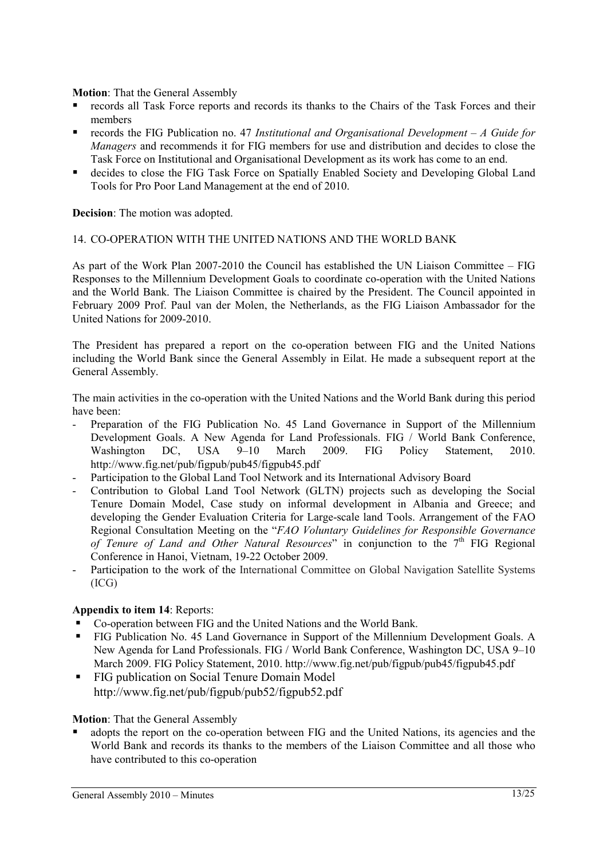**Motion**: That the General Assembly

- records all Task Force reports and records its thanks to the Chairs of the Task Forces and their members
- records the FIG Publication no. 47 *Institutional and Organisational Development A Guide for Managers* and recommends it for FIG members for use and distribution and decides to close the Task Force on Institutional and Organisational Development as its work has come to an end.
- decides to close the FIG Task Force on Spatially Enabled Society and Developing Global Land Tools for Pro Poor Land Management at the end of 2010.

**Decision**: The motion was adopted.

#### 14. CO-OPERATION WITH THE UNITED NATIONS AND THE WORLD BANK

As part of the Work Plan 2007-2010 the Council has established the UN Liaison Committee – FIG Responses to the Millennium Development Goals to coordinate co-operation with the United Nations and the World Bank. The Liaison Committee is chaired by the President. The Council appointed in February 2009 Prof. Paul van der Molen, the Netherlands, as the FIG Liaison Ambassador for the United Nations for 2009-2010.

The President has prepared a report on the co-operation between FIG and the United Nations including the World Bank since the General Assembly in Eilat. He made a subsequent report at the General Assembly.

The main activities in the co-operation with the United Nations and the World Bank during this period have been:

- Preparation of the FIG Publication No. 45 Land Governance in Support of the Millennium Development Goals. A New Agenda for Land Professionals. FIG / World Bank Conference, Washington DC, USA 9–10 March 2009. FIG Policy Statement, 2010. http://www.fig.net/pub/figpub/pub45/figpub45.pdf
- Participation to the Global Land Tool Network and its International Advisory Board
- Contribution to Global Land Tool Network (GLTN) projects such as developing the Social Tenure Domain Model, Case study on informal development in Albania and Greece; and developing the Gender Evaluation Criteria for Large-scale land Tools. Arrangement of the FAO Regional Consultation Meeting on the "*FAO Voluntary Guidelines for Responsible Governance of Tenure of Land and Other Natural Resources*" in conjunction to the 7<sup>th</sup> FIG Regional Conference in Hanoi, Vietnam, 19-22 October 2009.
- Participation to the work of the International Committee on Global Navigation Satellite Systems (ICG)

## **Appendix to item 14**: Reports:

- Co-operation between FIG and the United Nations and the World Bank.
- FIG Publication No. 45 Land Governance in Support of the Millennium Development Goals. A New Agenda for Land Professionals. FIG / World Bank Conference, Washington DC, USA 9–10 March 2009. FIG Policy Statement, 2010. http://www.fig.net/pub/figpub/pub45/figpub45.pdf
- **FIG publication on Social Tenure Domain Model** http://www.fig.net/pub/figpub/pub52/figpub52.pdf

## **Motion**: That the General Assembly

 adopts the report on the co-operation between FIG and the United Nations, its agencies and the World Bank and records its thanks to the members of the Liaison Committee and all those who have contributed to this co-operation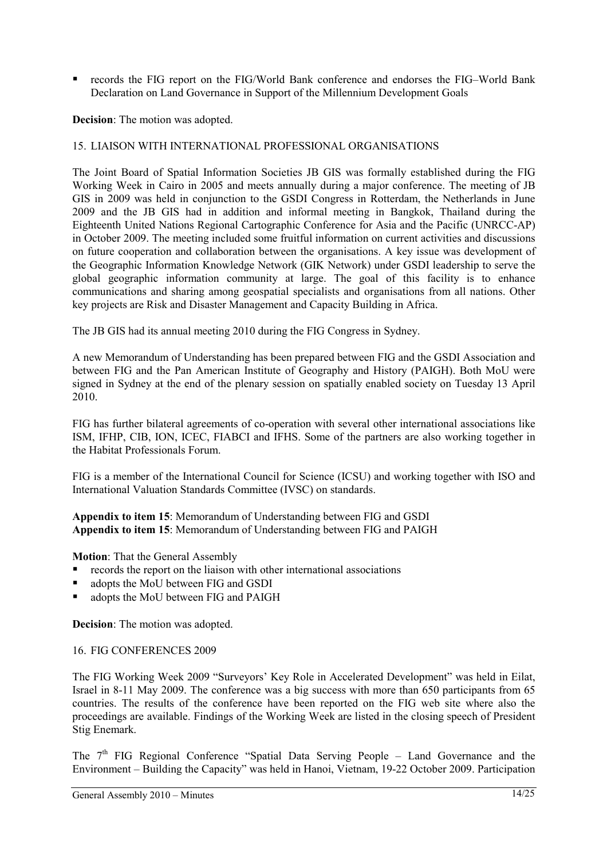■ records the FIG report on the FIG/World Bank conference and endorses the FIG–World Bank Declaration on Land Governance in Support of the Millennium Development Goals

**Decision**: The motion was adopted.

## 15. LIAISON WITH INTERNATIONAL PROFESSIONAL ORGANISATIONS

The Joint Board of Spatial Information Societies JB GIS was formally established during the FIG Working Week in Cairo in 2005 and meets annually during a major conference. The meeting of JB GIS in 2009 was held in conjunction to the GSDI Congress in Rotterdam, the Netherlands in June 2009 and the JB GIS had in addition and informal meeting in Bangkok, Thailand during the Eighteenth United Nations Regional Cartographic Conference for Asia and the Pacific (UNRCC-AP) in October 2009. The meeting included some fruitful information on current activities and discussions on future cooperation and collaboration between the organisations. A key issue was development of the Geographic Information Knowledge Network (GIK Network) under GSDI leadership to serve the global geographic information community at large. The goal of this facility is to enhance communications and sharing among geospatial specialists and organisations from all nations. Other key projects are Risk and Disaster Management and Capacity Building in Africa.

The JB GIS had its annual meeting 2010 during the FIG Congress in Sydney.

A new Memorandum of Understanding has been prepared between FIG and the GSDI Association and between FIG and the Pan American Institute of Geography and History (PAIGH). Both MoU were signed in Sydney at the end of the plenary session on spatially enabled society on Tuesday 13 April 2010.

FIG has further bilateral agreements of co-operation with several other international associations like ISM, IFHP, CIB, ION, ICEC, FIABCI and IFHS. Some of the partners are also working together in the Habitat Professionals Forum.

FIG is a member of the International Council for Science (ICSU) and working together with ISO and International Valuation Standards Committee (IVSC) on standards.

**Appendix to item 15**: Memorandum of Understanding between FIG and GSDI **Appendix to item 15**: Memorandum of Understanding between FIG and PAIGH

**Motion**: That the General Assembly

- **•** records the report on the liaison with other international associations
- adopts the MoU between FIG and GSDI
- adopts the MoU between FIG and PAIGH

**Decision**: The motion was adopted.

## 16. FIG CONFERENCES 2009

The FIG Working Week 2009 "Surveyors' Key Role in Accelerated Development" was held in Eilat, Israel in 8-11 May 2009. The conference was a big success with more than 650 participants from 65 countries. The results of the conference have been reported on the FIG web site where also the proceedings are available. Findings of the Working Week are listed in the closing speech of President Stig Enemark.

The 7<sup>th</sup> FIG Regional Conference "Spatial Data Serving People – Land Governance and the Environment – Building the Capacity" was held in Hanoi, Vietnam, 19-22 October 2009. Participation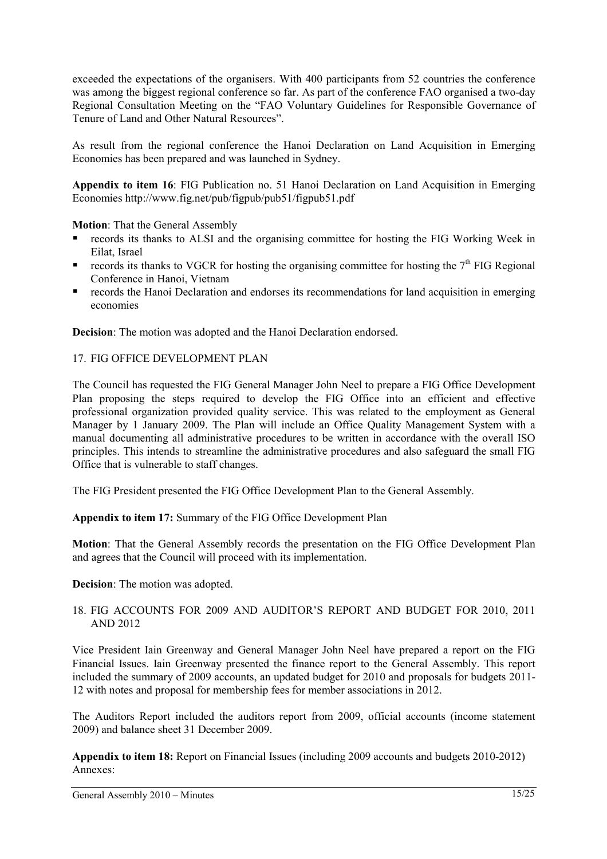exceeded the expectations of the organisers. With 400 participants from 52 countries the conference was among the biggest regional conference so far. As part of the conference FAO organised a two-day Regional Consultation Meeting on the "FAO Voluntary Guidelines for Responsible Governance of Tenure of Land and Other Natural Resources".

As result from the regional conference the Hanoi Declaration on Land Acquisition in Emerging Economies has been prepared and was launched in Sydney.

**Appendix to item 16**: FIG Publication no. 51 Hanoi Declaration on Land Acquisition in Emerging Economies http://www.fig.net/pub/figpub/pub51/figpub51.pdf

**Motion**: That the General Assembly

- records its thanks to ALSI and the organising committee for hosting the FIG Working Week in Eilat, Israel
- records its thanks to VGCR for hosting the organising committee for hosting the  $7<sup>th</sup>$  FIG Regional Conference in Hanoi, Vietnam
- records the Hanoi Declaration and endorses its recommendations for land acquisition in emerging economies

**Decision**: The motion was adopted and the Hanoi Declaration endorsed.

## 17. FIG OFFICE DEVELOPMENT PLAN

The Council has requested the FIG General Manager John Neel to prepare a FIG Office Development Plan proposing the steps required to develop the FIG Office into an efficient and effective professional organization provided quality service. This was related to the employment as General Manager by 1 January 2009. The Plan will include an Office Quality Management System with a manual documenting all administrative procedures to be written in accordance with the overall ISO principles. This intends to streamline the administrative procedures and also safeguard the small FIG Office that is vulnerable to staff changes.

The FIG President presented the FIG Office Development Plan to the General Assembly.

**Appendix to item 17:** Summary of the FIG Office Development Plan

**Motion**: That the General Assembly records the presentation on the FIG Office Development Plan and agrees that the Council will proceed with its implementation.

**Decision**: The motion was adopted.

## 18. FIG ACCOUNTS FOR 2009 AND AUDITOR'S REPORT AND BUDGET FOR 2010, 2011 AND 2012

Vice President Iain Greenway and General Manager John Neel have prepared a report on the FIG Financial Issues. Iain Greenway presented the finance report to the General Assembly. This report included the summary of 2009 accounts, an updated budget for 2010 and proposals for budgets 2011- 12 with notes and proposal for membership fees for member associations in 2012.

The Auditors Report included the auditors report from 2009, official accounts (income statement 2009) and balance sheet 31 December 2009.

**Appendix to item 18:** Report on Financial Issues (including 2009 accounts and budgets 2010-2012) Annexes: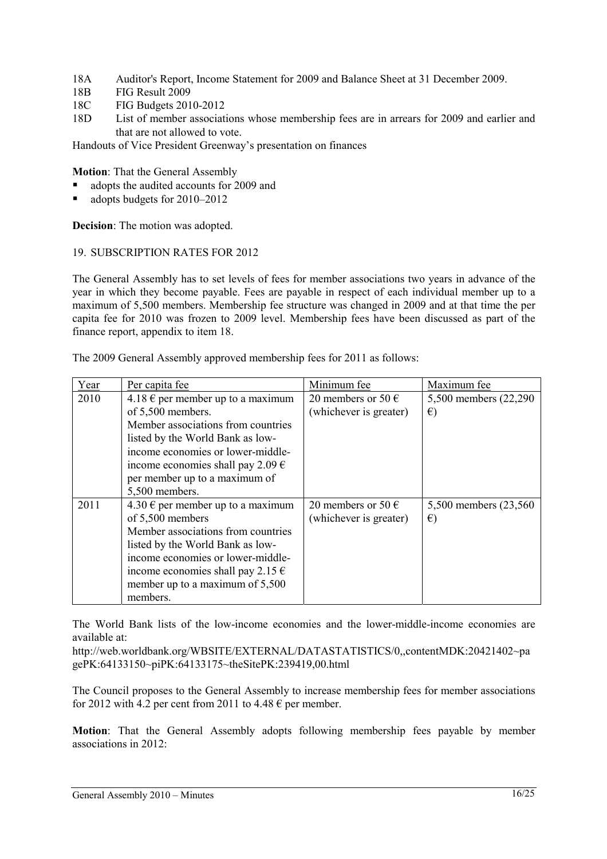- 18A Auditor's Report, Income Statement for 2009 and Balance Sheet at 31 December 2009.
- 18B FIG Result 2009
- 18C FIG Budgets 2010-2012
- 18D List of member associations whose membership fees are in arrears for 2009 and earlier and that are not allowed to vote.

Handouts of Vice President Greenway's presentation on finances

**Motion**: That the General Assembly

- adopts the audited accounts for 2009 and
- adopts budgets for 2010–2012

**Decision**: The motion was adopted.

#### 19. SUBSCRIPTION RATES FOR 2012

The General Assembly has to set levels of fees for member associations two years in advance of the year in which they become payable. Fees are payable in respect of each individual member up to a maximum of 5,500 members. Membership fee structure was changed in 2009 and at that time the per capita fee for 2010 was frozen to 2009 level. Membership fees have been discussed as part of the finance report, appendix to item 18.

The 2009 General Assembly approved membership fees for 2011 as follows:

| Year | Per capita fee                             | Minimum fee                 | Maximum fee            |
|------|--------------------------------------------|-----------------------------|------------------------|
| 2010 | 4.18 € per member up to a maximum          | 20 members or 50 $\epsilon$ | 5,500 members (22,290) |
|      | of 5,500 members.                          | (whichever is greater)      | $\epsilon$             |
|      | Member associations from countries         |                             |                        |
|      | listed by the World Bank as low-           |                             |                        |
|      | income economies or lower-middle-          |                             |                        |
|      | income economies shall pay 2.09 $\epsilon$ |                             |                        |
|      | per member up to a maximum of              |                             |                        |
|      | 5,500 members.                             |                             |                        |
| 2011 | 4.30 € per member up to a maximum          | 20 members or 50 $\in$      | 5,500 members (23,560) |
|      | of 5,500 members                           | (whichever is greater)      | $\epsilon$             |
|      | Member associations from countries         |                             |                        |
|      | listed by the World Bank as low-           |                             |                        |
|      | income economies or lower-middle-          |                             |                        |
|      | income economies shall pay 2.15 $\epsilon$ |                             |                        |
|      | member up to a maximum of 5,500            |                             |                        |
|      | members.                                   |                             |                        |

The World Bank lists of the low-income economies and the lower-middle-income economies are available at:

http://web.worldbank.org/WBSITE/EXTERNAL/DATASTATISTICS/0,,contentMDK:20421402~pa gePK:64133150~piPK:64133175~theSitePK:239419,00.html

The Council proposes to the General Assembly to increase membership fees for member associations for 2012 with 4.2 per cent from 2011 to 4.48  $\epsilon$  per member.

**Motion**: That the General Assembly adopts following membership fees payable by member associations in 2012: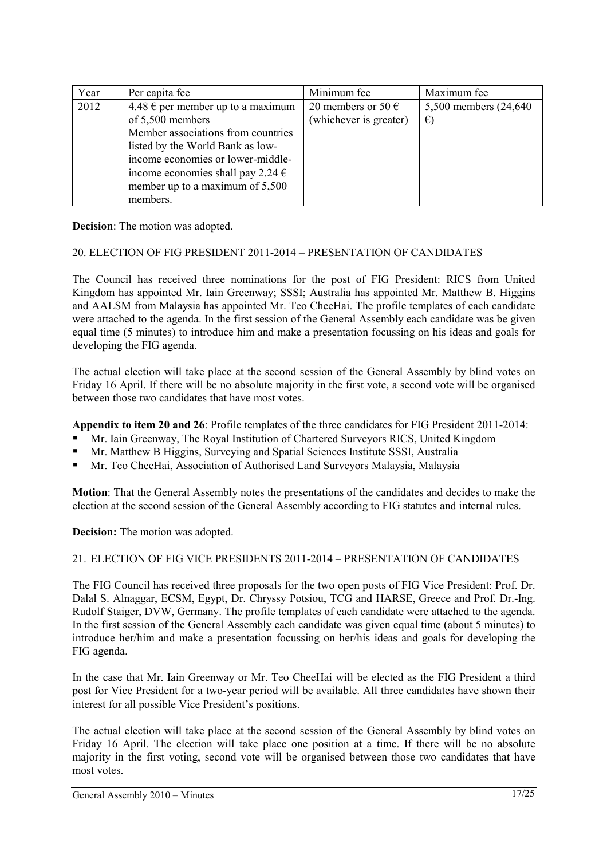| Year | Per capita fee                             | Minimum fee            | Maximum fee            |
|------|--------------------------------------------|------------------------|------------------------|
| 2012 | $4.48 \in$ per member up to a maximum      | 20 members or 50 $\in$ | 5,500 members (24,640) |
|      | of 5,500 members                           | (whichever is greater) | $\epsilon$             |
|      | Member associations from countries         |                        |                        |
|      | listed by the World Bank as low-           |                        |                        |
|      | income economies or lower-middle-          |                        |                        |
|      | income economies shall pay 2.24 $\epsilon$ |                        |                        |
|      | member up to a maximum of 5,500            |                        |                        |
|      | members.                                   |                        |                        |

**Decision**: The motion was adopted.

#### 20. ELECTION OF FIG PRESIDENT 2011-2014 – PRESENTATION OF CANDIDATES

The Council has received three nominations for the post of FIG President: RICS from United Kingdom has appointed Mr. Iain Greenway; SSSI; Australia has appointed Mr. Matthew B. Higgins and AALSM from Malaysia has appointed Mr. Teo CheeHai. The profile templates of each candidate were attached to the agenda. In the first session of the General Assembly each candidate was be given equal time (5 minutes) to introduce him and make a presentation focussing on his ideas and goals for developing the FIG agenda.

The actual election will take place at the second session of the General Assembly by blind votes on Friday 16 April. If there will be no absolute majority in the first vote, a second vote will be organised between those two candidates that have most votes.

**Appendix to item 20 and 26**: Profile templates of the three candidates for FIG President 2011-2014:

- Mr. Iain Greenway, The Royal Institution of Chartered Surveyors RICS, United Kingdom
- Mr. Matthew B Higgins, Surveying and Spatial Sciences Institute SSSI, Australia
- Mr. Teo CheeHai, Association of Authorised Land Surveyors Malaysia, Malaysia

**Motion**: That the General Assembly notes the presentations of the candidates and decides to make the election at the second session of the General Assembly according to FIG statutes and internal rules.

**Decision:** The motion was adopted.

#### 21. ELECTION OF FIG VICE PRESIDENTS 2011-2014 – PRESENTATION OF CANDIDATES

The FIG Council has received three proposals for the two open posts of FIG Vice President: Prof. Dr. Dalal S. Alnaggar, ECSM, Egypt, Dr. Chryssy Potsiou, TCG and HARSE, Greece and Prof. Dr.-Ing. Rudolf Staiger, DVW, Germany. The profile templates of each candidate were attached to the agenda. In the first session of the General Assembly each candidate was given equal time (about 5 minutes) to introduce her/him and make a presentation focussing on her/his ideas and goals for developing the FIG agenda.

In the case that Mr. Iain Greenway or Mr. Teo CheeHai will be elected as the FIG President a third post for Vice President for a two-year period will be available. All three candidates have shown their interest for all possible Vice President's positions.

The actual election will take place at the second session of the General Assembly by blind votes on Friday 16 April. The election will take place one position at a time. If there will be no absolute majority in the first voting, second vote will be organised between those two candidates that have most votes.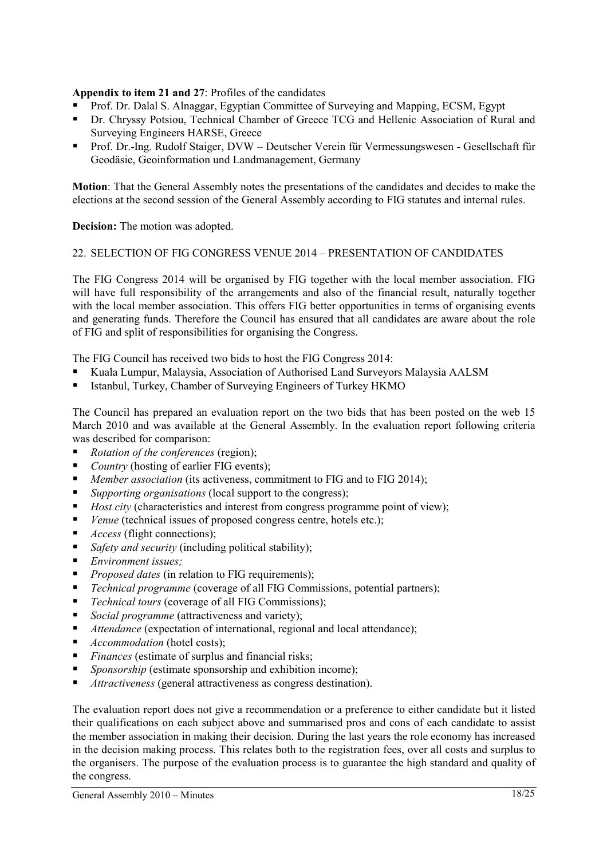## **Appendix to item 21 and 27**: Profiles of the candidates

- Prof. Dr. Dalal S. Alnaggar, Egyptian Committee of Surveying and Mapping, ECSM, Egypt
- Dr. Chryssy Potsiou, Technical Chamber of Greece TCG and Hellenic Association of Rural and Surveying Engineers HARSE, Greece
- Prof. Dr.-Ing. Rudolf Staiger, DVW Deutscher Verein für Vermessungswesen Gesellschaft für Geodäsie, Geoinformation und Landmanagement, Germany

**Motion**: That the General Assembly notes the presentations of the candidates and decides to make the elections at the second session of the General Assembly according to FIG statutes and internal rules.

**Decision:** The motion was adopted.

#### 22. SELECTION OF FIG CONGRESS VENUE 2014 – PRESENTATION OF CANDIDATES

The FIG Congress 2014 will be organised by FIG together with the local member association. FIG will have full responsibility of the arrangements and also of the financial result, naturally together with the local member association. This offers FIG better opportunities in terms of organising events and generating funds. Therefore the Council has ensured that all candidates are aware about the role of FIG and split of responsibilities for organising the Congress.

The FIG Council has received two bids to host the FIG Congress 2014:

- Kuala Lumpur, Malaysia, Association of Authorised Land Surveyors Malaysia AALSM
- Istanbul, Turkey, Chamber of Surveying Engineers of Turkey HKMO

The Council has prepared an evaluation report on the two bids that has been posted on the web 15 March 2010 and was available at the General Assembly. In the evaluation report following criteria was described for comparison:

- *Rotation of the conferences* (region);
- *Country* (hosting of earlier FIG events);
- *Member association* (its activeness, commitment to FIG and to FIG 2014);
- *Supporting organisations* (local support to the congress);
- *Host city* (characteristics and interest from congress programme point of view);
- *Venue* (technical issues of proposed congress centre, hotels etc.);
- *Access* (flight connections);
- *Safety and security* (including political stability);
- *Environment issues;*
- **Proposed dates** (in relation to FIG requirements);
- *Technical programme* (coverage of all FIG Commissions, potential partners);
- *Technical tours* (coverage of all FIG Commissions);
- *Social programme* (attractiveness and variety):
- *Attendance* (expectation of international, regional and local attendance);
- *Accommodation* (hotel costs);
- *Finances* (estimate of surplus and financial risks;
- *Sponsorship* (estimate sponsorship and exhibition income);
- *Attractiveness* (general attractiveness as congress destination).

The evaluation report does not give a recommendation or a preference to either candidate but it listed their qualifications on each subject above and summarised pros and cons of each candidate to assist the member association in making their decision. During the last years the role economy has increased in the decision making process. This relates both to the registration fees, over all costs and surplus to the organisers. The purpose of the evaluation process is to guarantee the high standard and quality of the congress.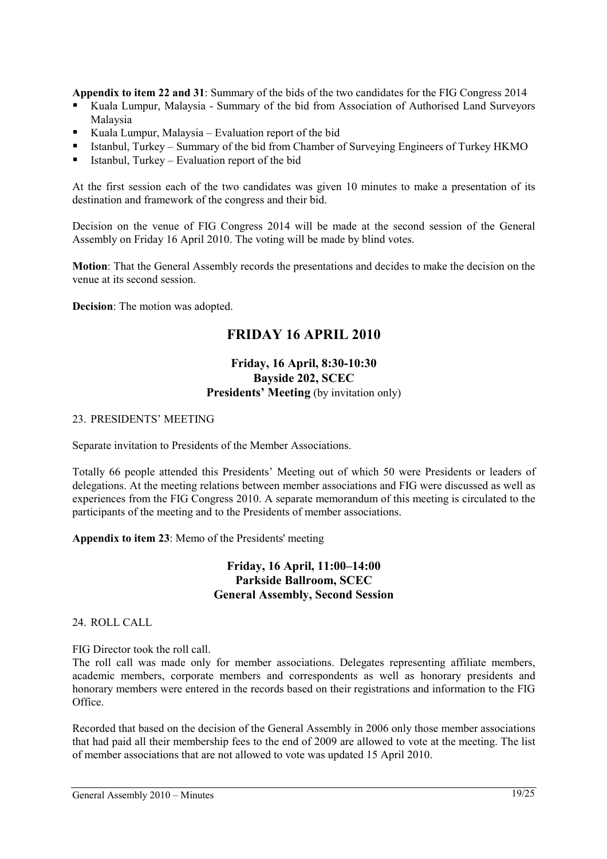**Appendix to item 22 and 31**: Summary of the bids of the two candidates for the FIG Congress 2014

- Kuala Lumpur, Malaysia Summary of the bid from Association of Authorised Land Surveyors Malaysia
- Kuala Lumpur, Malaysia Evaluation report of the bid
- Istanbul, Turkey Summary of the bid from Chamber of Surveying Engineers of Turkey HKMO
- Istanbul, Turkey Evaluation report of the bid

At the first session each of the two candidates was given 10 minutes to make a presentation of its destination and framework of the congress and their bid.

Decision on the venue of FIG Congress 2014 will be made at the second session of the General Assembly on Friday 16 April 2010. The voting will be made by blind votes.

**Motion**: That the General Assembly records the presentations and decides to make the decision on the venue at its second session.

**Decision**: The motion was adopted.

## **FRIDAY 16 APRIL 2010**

## **Friday, 16 April, 8:30-10:30 Bayside 202, SCEC Presidents' Meeting** (by invitation only)

#### 23. PRESIDENTS' MEETING

Separate invitation to Presidents of the Member Associations.

Totally 66 people attended this Presidents' Meeting out of which 50 were Presidents or leaders of delegations. At the meeting relations between member associations and FIG were discussed as well as experiences from the FIG Congress 2010. A separate memorandum of this meeting is circulated to the participants of the meeting and to the Presidents of member associations.

**Appendix to item 23**: Memo of the Presidents' meeting

## **Friday, 16 April, 11:00–14:00 Parkside Ballroom, SCEC General Assembly, Second Session**

24. ROLL CALL

FIG Director took the roll call.

The roll call was made only for member associations. Delegates representing affiliate members, academic members, corporate members and correspondents as well as honorary presidents and honorary members were entered in the records based on their registrations and information to the FIG Office.

Recorded that based on the decision of the General Assembly in 2006 only those member associations that had paid all their membership fees to the end of 2009 are allowed to vote at the meeting. The list of member associations that are not allowed to vote was updated 15 April 2010.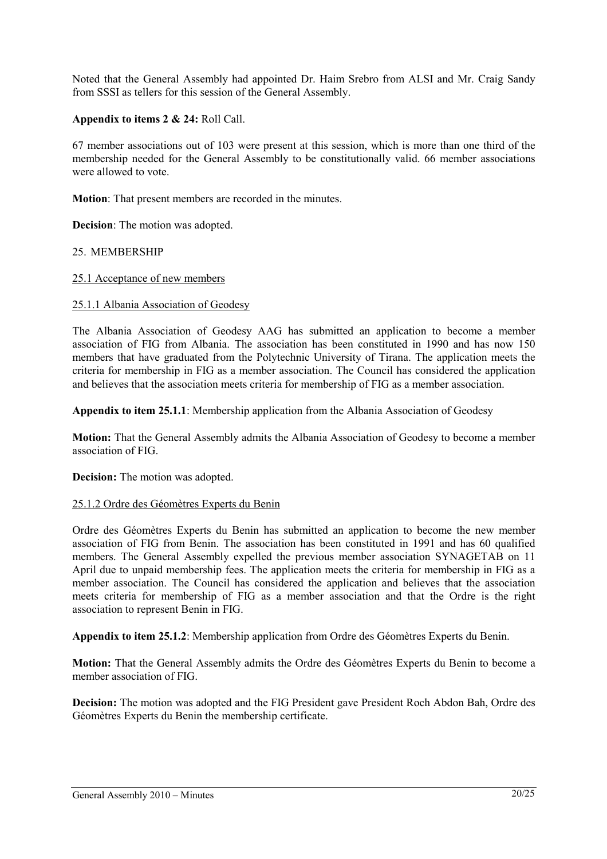Noted that the General Assembly had appointed Dr. Haim Srebro from ALSI and Mr. Craig Sandy from SSSI as tellers for this session of the General Assembly.

## **Appendix to items 2 & 24:** Roll Call.

67 member associations out of 103 were present at this session, which is more than one third of the membership needed for the General Assembly to be constitutionally valid. 66 member associations were allowed to vote.

**Motion**: That present members are recorded in the minutes.

**Decision**: The motion was adopted.

#### 25. MEMBERSHIP

#### 25.1 Acceptance of new members

#### 25.1.1 Albania Association of Geodesy

The Albania Association of Geodesy AAG has submitted an application to become a member association of FIG from Albania. The association has been constituted in 1990 and has now 150 members that have graduated from the Polytechnic University of Tirana. The application meets the criteria for membership in FIG as a member association. The Council has considered the application and believes that the association meets criteria for membership of FIG as a member association.

**Appendix to item 25.1.1**: Membership application from the Albania Association of Geodesy

**Motion:** That the General Assembly admits the Albania Association of Geodesy to become a member association of FIG.

**Decision:** The motion was adopted.

#### 25.1.2 Ordre des Géomètres Experts du Benin

Ordre des Géomètres Experts du Benin has submitted an application to become the new member association of FIG from Benin. The association has been constituted in 1991 and has 60 qualified members. The General Assembly expelled the previous member association SYNAGETAB on 11 April due to unpaid membership fees. The application meets the criteria for membership in FIG as a member association. The Council has considered the application and believes that the association meets criteria for membership of FIG as a member association and that the Ordre is the right association to represent Benin in FIG.

**Appendix to item 25.1.2**: Membership application from Ordre des Géomètres Experts du Benin.

**Motion:** That the General Assembly admits the Ordre des Géomètres Experts du Benin to become a member association of FIG.

**Decision:** The motion was adopted and the FIG President gave President Roch Abdon Bah, Ordre des Géomètres Experts du Benin the membership certificate.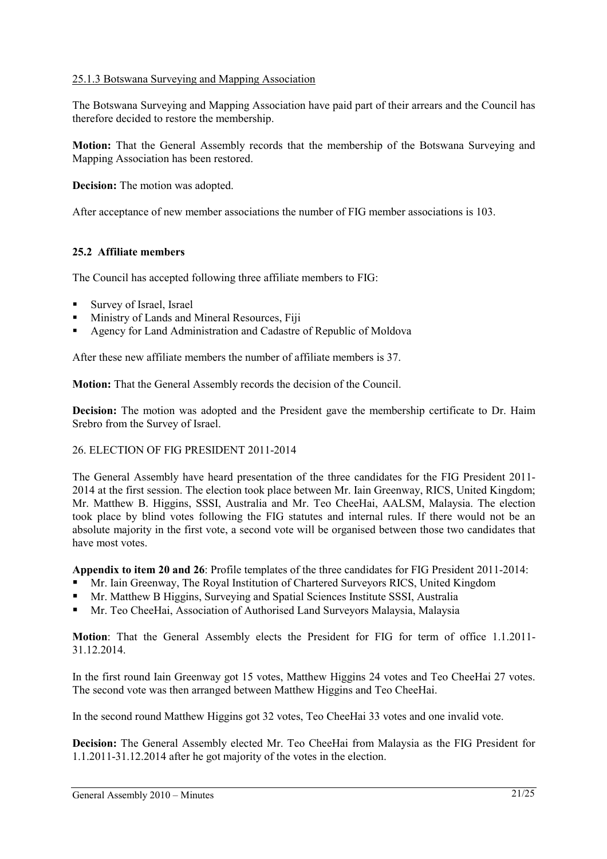## 25.1.3 Botswana Surveying and Mapping Association

The Botswana Surveying and Mapping Association have paid part of their arrears and the Council has therefore decided to restore the membership.

**Motion:** That the General Assembly records that the membership of the Botswana Surveying and Mapping Association has been restored.

**Decision:** The motion was adopted.

After acceptance of new member associations the number of FIG member associations is 103.

## **25.2 Affiliate members**

The Council has accepted following three affiliate members to FIG:

- **Survey of Israel, Israel**
- Ministry of Lands and Mineral Resources, Fiji
- Agency for Land Administration and Cadastre of Republic of Moldova

After these new affiliate members the number of affiliate members is 37.

**Motion:** That the General Assembly records the decision of the Council.

**Decision:** The motion was adopted and the President gave the membership certificate to Dr. Haim Srebro from the Survey of Israel.

#### 26. ELECTION OF FIG PRESIDENT 2011-2014

The General Assembly have heard presentation of the three candidates for the FIG President 2011- 2014 at the first session. The election took place between Mr. Iain Greenway, RICS, United Kingdom; Mr. Matthew B. Higgins, SSSI, Australia and Mr. Teo CheeHai, AALSM, Malaysia. The election took place by blind votes following the FIG statutes and internal rules. If there would not be an absolute majority in the first vote, a second vote will be organised between those two candidates that have most votes.

**Appendix to item 20 and 26**: Profile templates of the three candidates for FIG President 2011-2014:

- Mr. Iain Greenway, The Royal Institution of Chartered Surveyors RICS, United Kingdom
- Mr. Matthew B Higgins, Surveying and Spatial Sciences Institute SSSI, Australia
- Mr. Teo CheeHai, Association of Authorised Land Surveyors Malaysia, Malaysia

**Motion**: That the General Assembly elects the President for FIG for term of office 1.1.2011- 31.12.2014.

In the first round Iain Greenway got 15 votes, Matthew Higgins 24 votes and Teo CheeHai 27 votes. The second vote was then arranged between Matthew Higgins and Teo CheeHai.

In the second round Matthew Higgins got 32 votes, Teo CheeHai 33 votes and one invalid vote.

**Decision:** The General Assembly elected Mr. Teo CheeHai from Malaysia as the FIG President for 1.1.2011-31.12.2014 after he got majority of the votes in the election.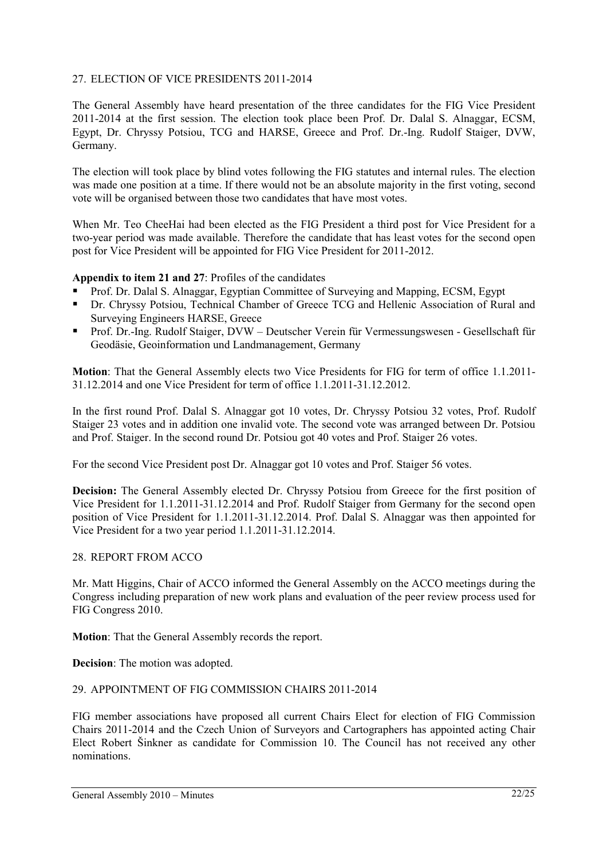## 27. ELECTION OF VICE PRESIDENTS 2011-2014

The General Assembly have heard presentation of the three candidates for the FIG Vice President 2011-2014 at the first session. The election took place been Prof. Dr. Dalal S. Alnaggar, ECSM, Egypt, Dr. Chryssy Potsiou, TCG and HARSE, Greece and Prof. Dr.-Ing. Rudolf Staiger, DVW, Germany.

The election will took place by blind votes following the FIG statutes and internal rules. The election was made one position at a time. If there would not be an absolute majority in the first voting, second vote will be organised between those two candidates that have most votes.

When Mr. Teo CheeHai had been elected as the FIG President a third post for Vice President for a two-year period was made available. Therefore the candidate that has least votes for the second open post for Vice President will be appointed for FIG Vice President for 2011-2012.

## **Appendix to item 21 and 27**: Profiles of the candidates

- Prof. Dr. Dalal S. Alnaggar, Egyptian Committee of Surveying and Mapping, ECSM, Egypt
- Dr. Chryssy Potsiou, Technical Chamber of Greece TCG and Hellenic Association of Rural and Surveying Engineers HARSE, Greece
- Prof. Dr.-Ing. Rudolf Staiger, DVW Deutscher Verein für Vermessungswesen Gesellschaft für Geodäsie, Geoinformation und Landmanagement, Germany

**Motion**: That the General Assembly elects two Vice Presidents for FIG for term of office 1.1.2011- 31.12.2014 and one Vice President for term of office 1.1.2011-31.12.2012.

In the first round Prof. Dalal S. Alnaggar got 10 votes, Dr. Chryssy Potsiou 32 votes, Prof. Rudolf Staiger 23 votes and in addition one invalid vote. The second vote was arranged between Dr. Potsiou and Prof. Staiger. In the second round Dr. Potsiou got 40 votes and Prof. Staiger 26 votes.

For the second Vice President post Dr. Alnaggar got 10 votes and Prof. Staiger 56 votes.

**Decision:** The General Assembly elected Dr. Chryssy Potsiou from Greece for the first position of Vice President for 1.1.2011-31.12.2014 and Prof. Rudolf Staiger from Germany for the second open position of Vice President for 1.1.2011-31.12.2014. Prof. Dalal S. Alnaggar was then appointed for Vice President for a two year period 1.1.2011-31.12.2014.

## 28. REPORT FROM ACCO

Mr. Matt Higgins, Chair of ACCO informed the General Assembly on the ACCO meetings during the Congress including preparation of new work plans and evaluation of the peer review process used for FIG Congress 2010.

**Motion**: That the General Assembly records the report.

**Decision**: The motion was adopted.

## 29. APPOINTMENT OF FIG COMMISSION CHAIRS 2011-2014

FIG member associations have proposed all current Chairs Elect for election of FIG Commission Chairs 2011-2014 and the Czech Union of Surveyors and Cartographers has appointed acting Chair Elect Robert Šinkner as candidate for Commission 10. The Council has not received any other nominations.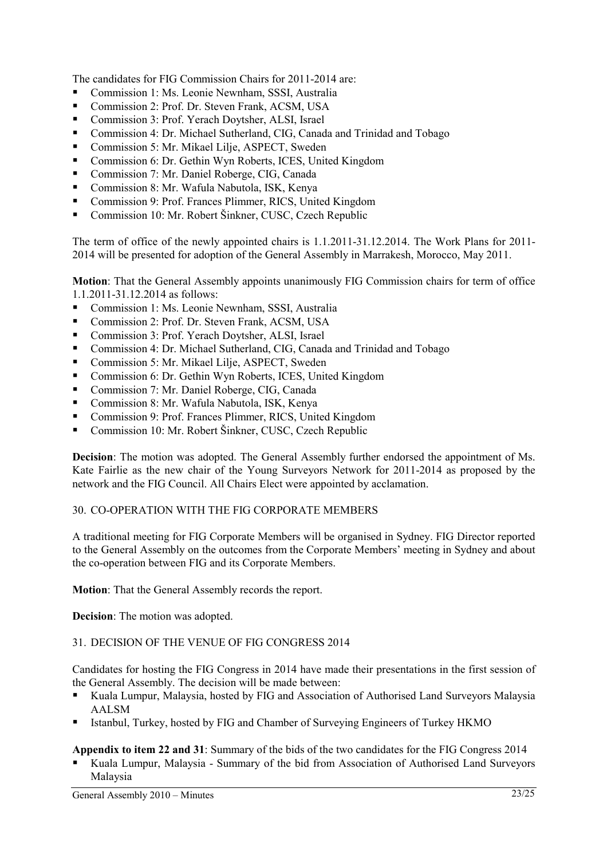The candidates for FIG Commission Chairs for 2011-2014 are:

- Commission 1: Ms. Leonie Newnham, SSSI, Australia
- Commission 2: Prof. Dr. Steven Frank, ACSM, USA
- Commission 3: Prof. Yerach Dovtsher, ALSI, Israel
- Commission 4: Dr. Michael Sutherland, CIG, Canada and Trinidad and Tobago
- Commission 5: Mr. Mikael Lilje, ASPECT, Sweden
- Commission 6: Dr. Gethin Wyn Roberts, ICES, United Kingdom
- Commission 7: Mr. Daniel Roberge, CIG, Canada
- Commission 8: Mr. Wafula Nabutola, ISK, Kenya
- Commission 9: Prof. Frances Plimmer, RICS, United Kingdom
- Commission 10: Mr. Robert Šinkner, CUSC, Czech Republic

The term of office of the newly appointed chairs is 1.1.2011-31.12.2014. The Work Plans for 2011- 2014 will be presented for adoption of the General Assembly in Marrakesh, Morocco, May 2011.

**Motion**: That the General Assembly appoints unanimously FIG Commission chairs for term of office 1.1.2011-31.12.2014 as follows:

- Commission 1: Ms. Leonie Newnham, SSSI, Australia
- Commission 2: Prof. Dr. Steven Frank, ACSM, USA
- Commission 3: Prof. Yerach Doytsher, ALSI, Israel
- Commission 4: Dr. Michael Sutherland, CIG, Canada and Trinidad and Tobago
- Commission 5: Mr. Mikael Lilje, ASPECT, Sweden
- Commission 6: Dr. Gethin Wyn Roberts, ICES, United Kingdom
- Commission 7: Mr. Daniel Roberge, CIG, Canada
- Commission 8: Mr. Wafula Nabutola, ISK, Kenya
- Commission 9: Prof. Frances Plimmer, RICS, United Kingdom
- Commission 10: Mr. Robert Šinkner, CUSC, Czech Republic

**Decision**: The motion was adopted. The General Assembly further endorsed the appointment of Ms. Kate Fairlie as the new chair of the Young Surveyors Network for 2011-2014 as proposed by the network and the FIG Council. All Chairs Elect were appointed by acclamation.

#### 30. CO-OPERATION WITH THE FIG CORPORATE MEMBERS

A traditional meeting for FIG Corporate Members will be organised in Sydney. FIG Director reported to the General Assembly on the outcomes from the Corporate Members' meeting in Sydney and about the co-operation between FIG and its Corporate Members.

**Motion**: That the General Assembly records the report.

**Decision**: The motion was adopted.

#### 31. DECISION OF THE VENUE OF FIG CONGRESS 2014

Candidates for hosting the FIG Congress in 2014 have made their presentations in the first session of the General Assembly. The decision will be made between:

- Kuala Lumpur, Malaysia, hosted by FIG and Association of Authorised Land Surveyors Malaysia AALSM
- Istanbul, Turkey, hosted by FIG and Chamber of Surveying Engineers of Turkey HKMO
- **Appendix to item 22 and 31**: Summary of the bids of the two candidates for the FIG Congress 2014
- Kuala Lumpur, Malaysia Summary of the bid from Association of Authorised Land Surveyors Malaysia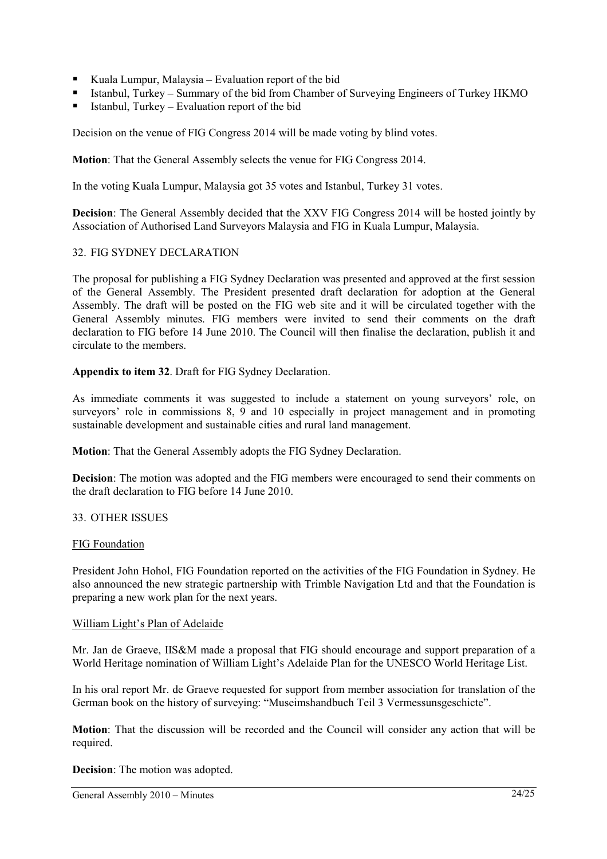- Kuala Lumpur, Malaysia Evaluation report of the bid
- Istanbul, Turkey Summary of the bid from Chamber of Surveying Engineers of Turkey HKMO
- Istanbul, Turkey Evaluation report of the bid

Decision on the venue of FIG Congress 2014 will be made voting by blind votes.

**Motion**: That the General Assembly selects the venue for FIG Congress 2014.

In the voting Kuala Lumpur, Malaysia got 35 votes and Istanbul, Turkey 31 votes.

**Decision**: The General Assembly decided that the XXV FIG Congress 2014 will be hosted jointly by Association of Authorised Land Surveyors Malaysia and FIG in Kuala Lumpur, Malaysia.

#### 32. FIG SYDNEY DECLARATION

The proposal for publishing a FIG Sydney Declaration was presented and approved at the first session of the General Assembly. The President presented draft declaration for adoption at the General Assembly. The draft will be posted on the FIG web site and it will be circulated together with the General Assembly minutes. FIG members were invited to send their comments on the draft declaration to FIG before 14 June 2010. The Council will then finalise the declaration, publish it and circulate to the members.

**Appendix to item 32**. Draft for FIG Sydney Declaration.

As immediate comments it was suggested to include a statement on young surveyors' role, on surveyors' role in commissions 8, 9 and 10 especially in project management and in promoting sustainable development and sustainable cities and rural land management.

**Motion**: That the General Assembly adopts the FIG Sydney Declaration.

**Decision**: The motion was adopted and the FIG members were encouraged to send their comments on the draft declaration to FIG before 14 June 2010.

## 33. OTHER ISSUES

#### FIG Foundation

President John Hohol, FIG Foundation reported on the activities of the FIG Foundation in Sydney. He also announced the new strategic partnership with Trimble Navigation Ltd and that the Foundation is preparing a new work plan for the next years.

#### William Light's Plan of Adelaide

Mr. Jan de Graeve, IIS&M made a proposal that FIG should encourage and support preparation of a World Heritage nomination of William Light's Adelaide Plan for the UNESCO World Heritage List.

In his oral report Mr. de Graeve requested for support from member association for translation of the German book on the history of surveying: "Museimshandbuch Teil 3 Vermessunsgeschicte".

**Motion**: That the discussion will be recorded and the Council will consider any action that will be required.